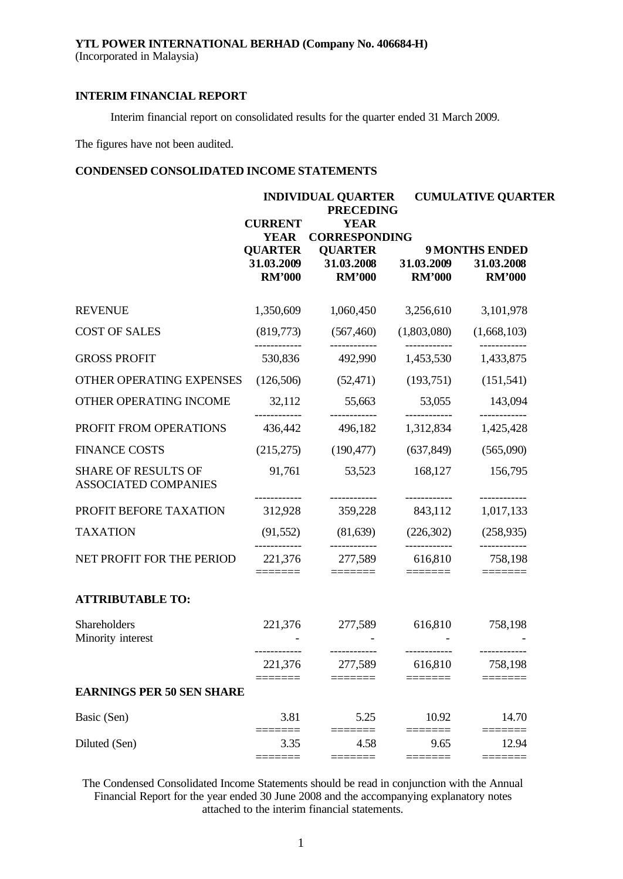Interim financial report on consolidated results for the quarter ended 31 March 2009.

The figures have not been audited.

# **CONDENSED CONSOLIDATED INCOME STATEMENTS**

|                                                           |                                               | <b>INDIVIDUAL QUARTER</b><br><b>PRECEDING</b>            |                                    | <b>CUMULATIVE QUARTER</b>                            |  |  |
|-----------------------------------------------------------|-----------------------------------------------|----------------------------------------------------------|------------------------------------|------------------------------------------------------|--|--|
|                                                           | <b>CURRENT</b><br><b>YEAR</b>                 | <b>YEAR</b><br><b>CORRESPONDING</b>                      |                                    |                                                      |  |  |
|                                                           | <b>QUARTER</b><br>31.03.2009<br><b>RM'000</b> | <b>QUARTER</b><br>31.03.2008 31.03.2009<br><b>RM'000</b> | <b>RM'000</b>                      | <b>9 MONTHS ENDED</b><br>31.03.2008<br><b>RM'000</b> |  |  |
| <b>REVENUE</b>                                            | 1,350,609                                     | 1,060,450                                                | 3,256,610                          | 3,101,978                                            |  |  |
| <b>COST OF SALES</b>                                      | (819,773)                                     | (567, 460)<br>------------                               | (1,803,080)<br>------------        | (1,668,103)                                          |  |  |
| <b>GROSS PROFIT</b>                                       | 530,836                                       | 492,990                                                  | 1,453,530                          | 1,433,875                                            |  |  |
| OTHER OPERATING EXPENSES                                  | (126,506)                                     | (52, 471)                                                | (193,751)                          | (151, 541)                                           |  |  |
| OTHER OPERATING INCOME                                    | 32,112                                        | 55,663                                                   | 53,055<br>____________             | 143,094                                              |  |  |
| PROFIT FROM OPERATIONS                                    | 436,442                                       | 496,182                                                  | 1,312,834                          | ------------<br>1,425,428                            |  |  |
| <b>FINANCE COSTS</b>                                      | (215,275)                                     | (190, 477)                                               | (637, 849)                         | (565,090)                                            |  |  |
| <b>SHARE OF RESULTS OF</b><br><b>ASSOCIATED COMPANIES</b> | 91,761                                        | 53,523                                                   | 168,127                            | 156,795                                              |  |  |
| PROFIT BEFORE TAXATION                                    | 312,928                                       | 359,228                                                  | 843,112                            | ------------<br>1,017,133                            |  |  |
| <b>TAXATION</b>                                           | (91, 552)                                     | (81, 639)                                                | (226,302)                          | (258, 935)                                           |  |  |
| NET PROFIT FOR THE PERIOD                                 | 221,376<br>=======                            | 277,589<br>$\equiv\equiv\equiv\equiv\equiv\equiv\equiv$  | ____________<br>616,810<br>======= | ------------<br>758,198<br>=======                   |  |  |
| <b>ATTRIBUTABLE TO:</b>                                   |                                               |                                                          |                                    |                                                      |  |  |
| Shareholders<br>Minority interest                         | 221,376<br>. _ _ _ _ _ _ _ _ _ _ _            | 277,589<br>------------                                  | 616,810                            | 758,198                                              |  |  |
|                                                           | 221,376                                       | 277,589                                                  | ------------<br>616,810            | 758,198                                              |  |  |
| <b>EARNINGS PER 50 SEN SHARE</b>                          |                                               |                                                          |                                    |                                                      |  |  |
| Basic (Sen)                                               | 3.81                                          | 5.25                                                     | 10.92                              | 14.70                                                |  |  |
| Diluted (Sen)                                             | 3.35<br>====                                  | 4.58<br>====                                             | 9.65<br>====                       | ====<br>12.94<br>≡≡≡≡≡                               |  |  |
|                                                           |                                               |                                                          |                                    |                                                      |  |  |

The Condensed Consolidated Income Statements should be read in conjunction with the Annual Financial Report for the year ended 30 June 2008 and the accompanying explanatory notes attached to the interim financial statements.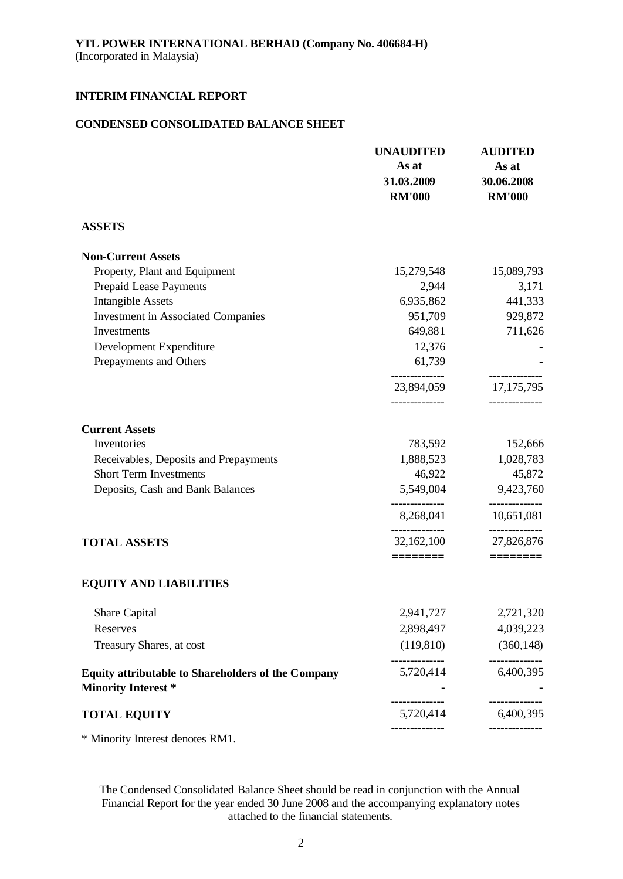### **CONDENSED CONSOLIDATED BALANCE SHEET**

|                                                                                         | <b>UNAUDITED</b><br>As at<br>31.03.2009<br><b>RM'000</b> | <b>AUDITED</b><br>As at<br>30.06.2008<br><b>RM'000</b> |
|-----------------------------------------------------------------------------------------|----------------------------------------------------------|--------------------------------------------------------|
| <b>ASSETS</b>                                                                           |                                                          |                                                        |
| <b>Non-Current Assets</b>                                                               |                                                          |                                                        |
| Property, Plant and Equipment                                                           | 15,279,548                                               | 15,089,793                                             |
| Prepaid Lease Payments                                                                  | 2,944                                                    | 3,171                                                  |
| <b>Intangible Assets</b>                                                                | 6,935,862                                                | 441,333                                                |
| <b>Investment in Associated Companies</b>                                               | 951,709                                                  | 929,872                                                |
| Investments                                                                             | 649,881                                                  | 711,626                                                |
| Development Expenditure                                                                 | 12,376                                                   |                                                        |
| Prepayments and Others                                                                  | 61,739                                                   |                                                        |
|                                                                                         | 23,894,059                                               | 17, 175, 795                                           |
| <b>Current Assets</b>                                                                   | -------------                                            |                                                        |
| Inventories                                                                             | 783,592                                                  | 152,666                                                |
| Receivable s, Deposits and Prepayments                                                  | 1,888,523                                                | 1,028,783                                              |
| <b>Short Term Investments</b>                                                           | 46,922                                                   | 45,872                                                 |
| Deposits, Cash and Bank Balances                                                        | 5,549,004                                                | 9,423,760                                              |
|                                                                                         | --------------<br>8,268,041                              | --------------<br>10,651,081                           |
| <b>TOTAL ASSETS</b>                                                                     | ---------------<br>32,162,100                            | ------------<br>27,826,876                             |
| <b>EQUITY AND LIABILITIES</b>                                                           | ========                                                 |                                                        |
| Share Capital                                                                           | 2,941,727                                                | 2,721,320                                              |
| Reserves                                                                                | 2,898,497                                                | 4,039,223                                              |
| Treasury Shares, at cost                                                                | (119, 810)                                               | (360, 148)                                             |
| <b>Equity attributable to Shareholders of the Company</b><br><b>Minority Interest *</b> | --------------<br>5,720,414                              | ------------<br>6,400,395                              |
| <b>TOTAL EQUITY</b>                                                                     | --------------<br>5,720,414                              | ----------<br>6,400,395                                |
|                                                                                         |                                                          |                                                        |

\* Minority Interest denotes RM1.

The Condensed Consolidated Balance Sheet should be read in conjunction with the Annual Financial Report for the year ended 30 June 2008 and the accompanying explanatory notes attached to the financial statements.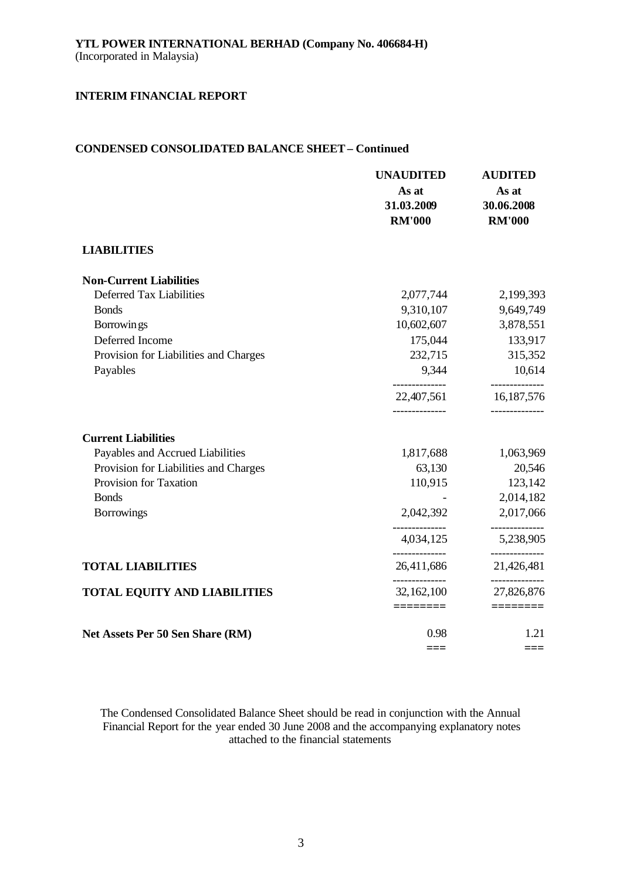# **CONDENSED CONSOLIDATED BALANCE SHEET – Continued**

|                                       | <b>UNAUDITED</b><br>As at<br>31.03.2009<br><b>RM'000</b> | <b>AUDITED</b><br>As at<br>30.06.2008<br><b>RM'000</b> |
|---------------------------------------|----------------------------------------------------------|--------------------------------------------------------|
| <b>LIABILITIES</b>                    |                                                          |                                                        |
| <b>Non-Current Liabilities</b>        |                                                          |                                                        |
| Deferred Tax Liabilities              | 2,077,744                                                | 2,199,393                                              |
| <b>Bonds</b>                          | 9,310,107                                                | 9,649,749                                              |
| Borrowings                            | 10,602,607                                               | 3,878,551                                              |
| Deferred Income                       | 175,044                                                  | 133,917                                                |
| Provision for Liabilities and Charges | 232,715                                                  | 315,352                                                |
| Payables                              | 9,344                                                    | 10,614                                                 |
|                                       | 22,407,561                                               | ----------<br>16,187,576                               |
| <b>Current Liabilities</b>            |                                                          |                                                        |
| Payables and Accrued Liabilities      | 1,817,688                                                | 1,063,969                                              |
| Provision for Liabilities and Charges | 63,130                                                   | 20,546                                                 |
| Provision for Taxation                | 110,915                                                  | 123,142                                                |
| <b>Bonds</b>                          |                                                          | 2,014,182                                              |
| <b>Borrowings</b>                     | 2,042,392                                                | 2,017,066                                              |
|                                       | 4,034,125                                                | 5,238,905                                              |
| <b>TOTAL LIABILITIES</b>              | 26,411,686                                               | 21,426,481                                             |
| <b>TOTAL EQUITY AND LIABILITIES</b>   | -------------<br>32,162,100                              | -----------<br>27,826,876                              |
|                                       | ========                                                 |                                                        |
| Net Assets Per 50 Sen Share (RM)      | 0.98                                                     | 1.21                                                   |
|                                       |                                                          | ===                                                    |

The Condensed Consolidated Balance Sheet should be read in conjunction with the Annual Financial Report for the year ended 30 June 2008 and the accompanying explanatory notes attached to the financial statements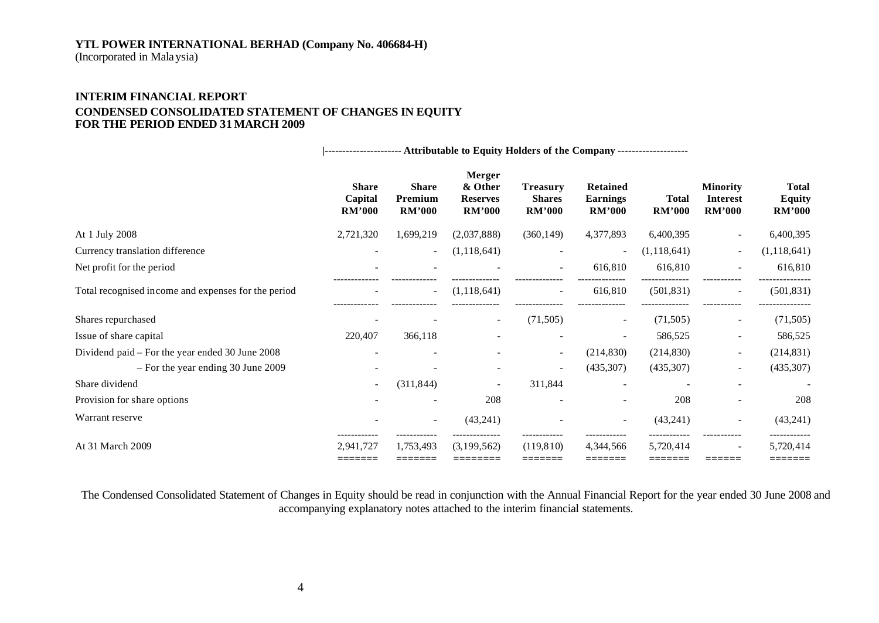(Incorporated in Malaysia)

# **INTERIM FINANCIAL REPORT CONDENSED CONSOLIDATED STATEMENT OF CHANGES IN EQUITY FOR THE PERIOD ENDED 31 MARCH 2009**

**|---------------------- Attributable to Equity Holders of the Company --------------------**

|                                                     | <b>Share</b><br>Capital<br><b>RM'000</b> | <b>Share</b><br>Premium<br><b>RM'000</b> | <b>Merger</b><br>& Other<br><b>Reserves</b><br><b>RM'000</b> | <b>Treasury</b><br><b>Shares</b><br><b>RM'000</b> | <b>Retained</b><br>Earnings<br><b>RM'000</b> | <b>Total</b><br><b>RM'000</b> | <b>Minority</b><br><b>Interest</b><br><b>RM'000</b> | <b>Total</b><br><b>Equity</b><br><b>RM'000</b> |
|-----------------------------------------------------|------------------------------------------|------------------------------------------|--------------------------------------------------------------|---------------------------------------------------|----------------------------------------------|-------------------------------|-----------------------------------------------------|------------------------------------------------|
| At 1 July 2008                                      | 2,721,320                                | 1,699,219                                | (2,037,888)                                                  | (360, 149)                                        | 4,377,893                                    | 6,400,395                     | $\overline{\phantom{0}}$                            | 6,400,395                                      |
| Currency translation difference                     |                                          | $\overline{\phantom{a}}$                 | (1,118,641)                                                  |                                                   |                                              | (1,118,641)                   | $\overline{\phantom{a}}$                            | (1, 118, 641)                                  |
| Net profit for the period                           |                                          |                                          |                                                              |                                                   | 616,810                                      | 616,810                       |                                                     | 616,810                                        |
| Total recognised income and expenses for the period |                                          | $\overline{\phantom{a}}$                 | (1, 118, 641)                                                | $\overline{\phantom{a}}$                          | 616,810                                      | (501, 831)                    | $\overline{\phantom{a}}$                            | (501, 831)                                     |
| Shares repurchased                                  |                                          |                                          |                                                              | (71, 505)                                         | $\sim$                                       | (71,505)                      | $\sim$                                              | (71, 505)                                      |
| Issue of share capital                              | 220,407                                  | 366,118                                  |                                                              |                                                   |                                              | 586,525                       | $\overline{\phantom{a}}$                            | 586,525                                        |
| Dividend paid – For the year ended 30 June 2008     |                                          | $\overline{\phantom{0}}$                 |                                                              | $\sim$                                            | (214, 830)                                   | (214, 830)                    | $\overline{\phantom{a}}$                            | (214, 831)                                     |
| - For the year ending 30 June 2009                  |                                          |                                          |                                                              | $\overline{\phantom{a}}$                          | (435, 307)                                   | (435,307)                     | $\overline{\phantom{a}}$                            | (435, 307)                                     |
| Share dividend                                      |                                          | (311, 844)                               |                                                              | 311,844                                           |                                              |                               | $\overline{\phantom{a}}$                            |                                                |
| Provision for share options                         |                                          |                                          | 208                                                          |                                                   |                                              | 208                           |                                                     | 208                                            |
| Warrant reserve                                     |                                          | $\overline{\phantom{a}}$                 | (43,241)                                                     |                                                   |                                              | (43,241)                      | $\overline{\phantom{a}}$                            | (43,241)                                       |
| At 31 March 2009                                    | 2,941,727<br>=======                     | 1,753,493<br>=======                     | (3,199,562)<br>========                                      | (119, 810)<br>=======                             | 4,344,566<br>=======                         | 5,720,414<br>-------          | -------                                             | 5,720,414<br>=======                           |

The Condensed Consolidated Statement of Changes in Equity should be read in conjunction with the Annual Financial Report for the year ended 30 June 2008 and accompanying explanatory notes attached to the interim financial statements.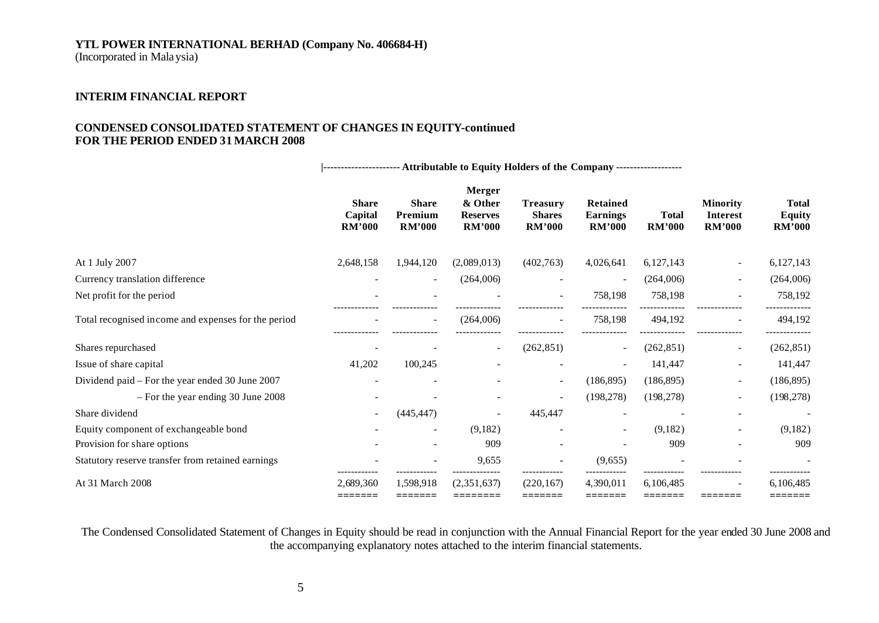(Incorporated in Malaysia)

# **INTERIM FINANCIAL REPORT**

#### **CONDENSED CONSOLIDATED STATEMENT OF CHANGES IN EQUITY-continued FOR THE PERIOD ENDED 31 MARCH 2008**

**|---------------------- Attributable to Equity Holders of the Company -------------------**

|                                                     |                                          |                                          | Merger                                      |                                                   |                                                     |                               |                                              |                                  |
|-----------------------------------------------------|------------------------------------------|------------------------------------------|---------------------------------------------|---------------------------------------------------|-----------------------------------------------------|-------------------------------|----------------------------------------------|----------------------------------|
|                                                     | <b>Share</b><br>Capital<br><b>RM'000</b> | <b>Share</b><br>Premium<br><b>RM'000</b> | & Other<br><b>Reserves</b><br><b>RM'000</b> | <b>Treasury</b><br><b>Shares</b><br><b>RM'000</b> | <b>Retained</b><br><b>Earnings</b><br><b>RM'000</b> | <b>Total</b><br><b>RM'000</b> | <b>Minority</b><br><b>Interest</b><br>RM'000 | Total<br>Equity<br><b>RM'000</b> |
|                                                     |                                          |                                          |                                             |                                                   |                                                     |                               |                                              |                                  |
| At 1 July 2007                                      | 2,648,158                                | 1,944,120                                | (2,089,013)                                 | (402,763)                                         | 4,026,641                                           | 6,127,143                     | $\overline{\phantom{a}}$                     | 6,127,143                        |
| Currency translation difference                     |                                          | $\overline{\phantom{a}}$                 | (264,006)                                   |                                                   |                                                     | (264,006)                     | $\overline{\phantom{a}}$                     | (264,006)                        |
| Net profit for the period                           |                                          |                                          |                                             |                                                   | 758,198                                             | 758,198                       | $\overline{\phantom{0}}$                     | 758,192                          |
| Total recognised income and expenses for the period |                                          | $\overline{\phantom{a}}$                 | (264,006)                                   |                                                   | 758,198                                             | 494,192                       |                                              | 494,192                          |
| Shares repurchased                                  |                                          |                                          |                                             | (262, 851)                                        |                                                     | (262, 851)                    | $\overline{\phantom{a}}$                     | (262, 851)                       |
| Issue of share capital                              | 41,202                                   | 100,245                                  |                                             |                                                   |                                                     | 141,447                       | $\overline{\phantom{a}}$                     | 141,447                          |
| Dividend paid – For the year ended 30 June 2007     |                                          |                                          |                                             | $\sim$                                            | (186, 895)                                          | (186, 895)                    | $\overline{\phantom{a}}$                     | (186, 895)                       |
| $-$ For the year ending 30 June 2008                |                                          |                                          |                                             | $\overline{\phantom{a}}$                          | (198, 278)                                          | (198, 278)                    | $\overline{\phantom{a}}$                     | (198, 278)                       |
| Share dividend                                      |                                          | (445, 447)                               |                                             | 445,447                                           |                                                     |                               | $\overline{a}$                               | -                                |
| Equity component of exchangeable bond               |                                          |                                          | (9,182)                                     |                                                   |                                                     | (9,182)                       |                                              | (9,182)                          |
| Provision for share options                         |                                          |                                          | 909                                         |                                                   |                                                     | 909                           |                                              | 909                              |
| Statutory reserve transfer from retained earnings   |                                          |                                          | 9,655                                       | $\overline{\phantom{a}}$                          | (9,655)                                             |                               |                                              |                                  |
| At 31 March 2008                                    | 2.689.360<br>=======                     | 1.598.918<br>--------                    | (2.351.637)<br>========                     | (220.167)<br>=======                              | 4.390.011<br>--------                               | 6.106.485<br>-------          |                                              | 6,106,485<br>=======             |

The Condensed Consolidated Statement of Changes in Equity should be read in conjunction with the Annual Financial Report for the year ended 30 June 2008 and the accompanying explanatory notes attached to the interim financial statements.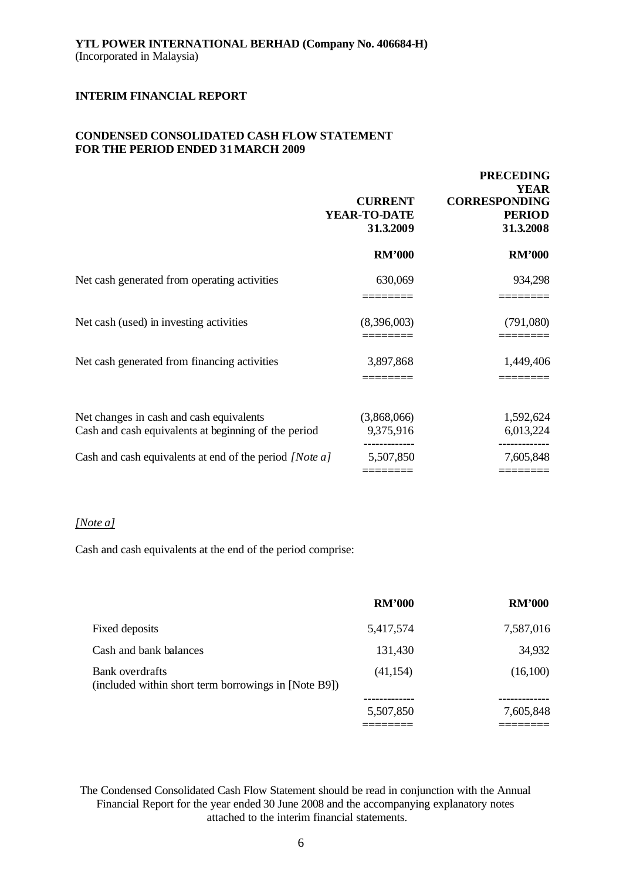# **CONDENSED CONSOLIDATED CASH FLOW STATEMENT FOR THE PERIOD ENDED 31 MARCH 2009**

|                                                                                                  | <b>CURRENT</b><br>YEAR-TO-DATE<br>31.3.2009 | <b>PRECEDING</b><br><b>YEAR</b><br><b>CORRESPONDING</b><br><b>PERIOD</b><br>31.3.2008 |
|--------------------------------------------------------------------------------------------------|---------------------------------------------|---------------------------------------------------------------------------------------|
|                                                                                                  | <b>RM'000</b>                               | <b>RM'000</b>                                                                         |
| Net cash generated from operating activities                                                     | 630,069                                     | 934,298                                                                               |
| Net cash (used) in investing activities                                                          | (8,396,003)                                 | (791,080)                                                                             |
| Net cash generated from financing activities                                                     | 3,897,868                                   | 1,449,406                                                                             |
| Net changes in cash and cash equivalents<br>Cash and cash equivalents at beginning of the period | (3,868,066)<br>9,375,916                    | 1,592,624<br>6,013,224                                                                |
| Cash and cash equivalents at end of the period [Note a]                                          | 5,507,850                                   | 7,605,848                                                                             |

# *[Note a]*

Cash and cash equivalents at the end of the period comprise:

|                                                                         | <b>RM'000</b> | <b>RM'000</b> |
|-------------------------------------------------------------------------|---------------|---------------|
| Fixed deposits                                                          | 5,417,574     | 7,587,016     |
| Cash and bank balances                                                  | 131,430       | 34,932        |
| Bank overdrafts<br>(included within short term borrowings in [Note B9]) | (41, 154)     | (16,100)      |
|                                                                         | 5,507,850     | 7,605,848     |
|                                                                         |               |               |

The Condensed Consolidated Cash Flow Statement should be read in conjunction with the Annual Financial Report for the year ended 30 June 2008 and the accompanying explanatory notes attached to the interim financial statements.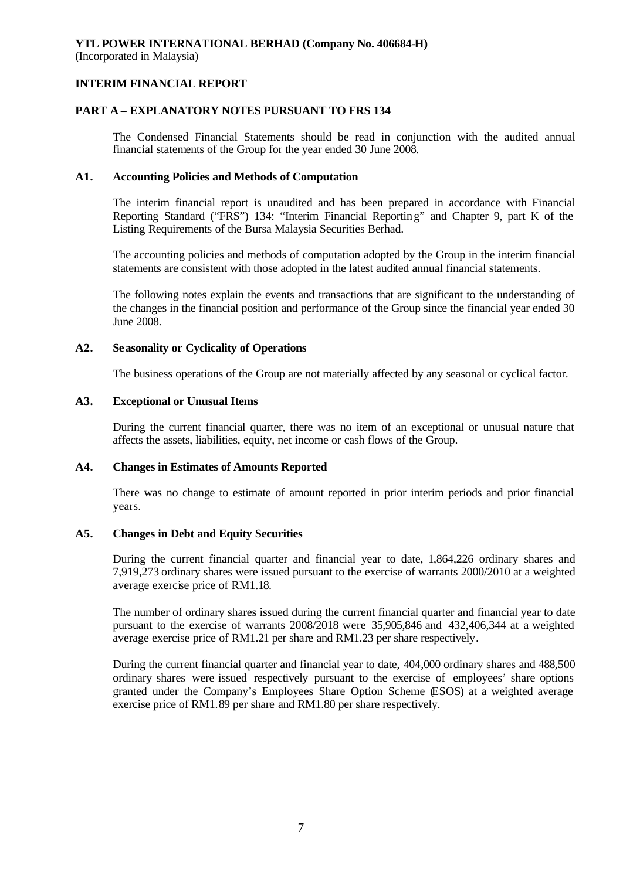(Incorporated in Malaysia)

# **INTERIM FINANCIAL REPORT**

# **PART A – EXPLANATORY NOTES PURSUANT TO FRS 134**

The Condensed Financial Statements should be read in conjunction with the audited annual financial statements of the Group for the year ended 30 June 2008.

# **A1. Accounting Policies and Methods of Computation**

The interim financial report is unaudited and has been prepared in accordance with Financial Reporting Standard ("FRS") 134: "Interim Financial Reporting" and Chapter 9, part K of the Listing Requirements of the Bursa Malaysia Securities Berhad.

The accounting policies and methods of computation adopted by the Group in the interim financial statements are consistent with those adopted in the latest audited annual financial statements.

The following notes explain the events and transactions that are significant to the understanding of the changes in the financial position and performance of the Group since the financial year ended 30 June 2008.

# **A2. Seasonality or Cyclicality of Operations**

The business operations of the Group are not materially affected by any seasonal or cyclical factor.

# **A3. Exceptional or Unusual Items**

During the current financial quarter, there was no item of an exceptional or unusual nature that affects the assets, liabilities, equity, net income or cash flows of the Group.

## **A4. Changes in Estimates of Amounts Reported**

There was no change to estimate of amount reported in prior interim periods and prior financial years.

## **A5. Changes in Debt and Equity Securities**

During the current financial quarter and financial year to date, 1,864,226 ordinary shares and 7,919,273 ordinary shares were issued pursuant to the exercise of warrants 2000/2010 at a weighted average exercise price of RM1.18.

The number of ordinary shares issued during the current financial quarter and financial year to date pursuant to the exercise of warrants 2008/2018 were 35,905,846 and 432,406,344 at a weighted average exercise price of RM1.21 per share and RM1.23 per share respectively.

During the current financial quarter and financial year to date, 404,000 ordinary shares and 488,500 ordinary shares were issued respectively pursuant to the exercise of employees' share options granted under the Company's Employees Share Option Scheme (ESOS) at a weighted average exercise price of RM1.89 per share and RM1.80 per share respectively.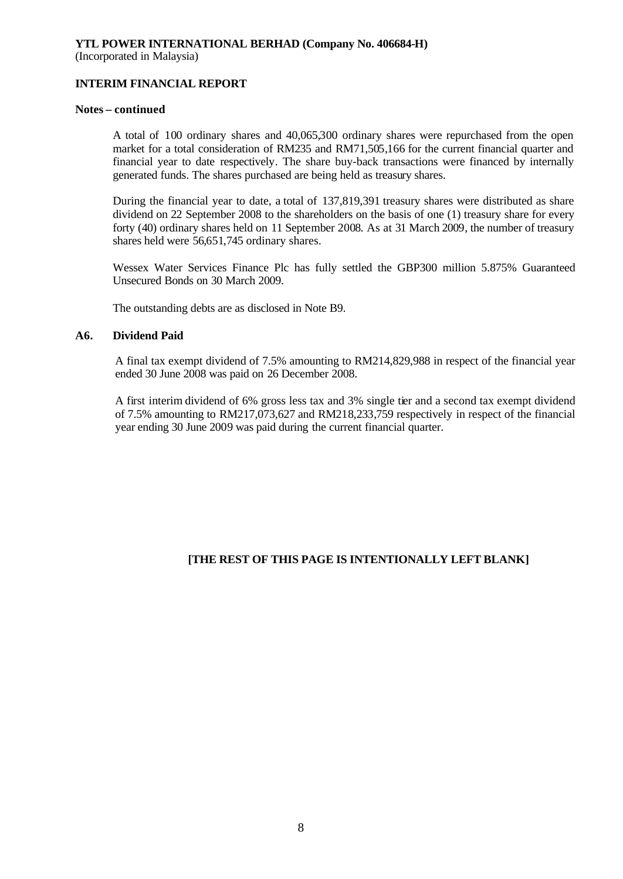(Incorporated in Malaysia)

# **INTERIM FINANCIAL REPORT**

#### **Notes – continued**

A total of 100 ordinary shares and 40,065,300 ordinary shares were repurchased from the open market for a total consideration of RM235 and RM71,505,166 for the current financial quarter and financial year to date respectively. The share buy-back transactions were financed by internally generated funds. The shares purchased are being held as treasury shares.

During the financial year to date, a total of 137,819,391 treasury shares were distributed as share dividend on 22 September 2008 to the shareholders on the basis of one (1) treasury share for every forty (40) ordinary shares held on 11 September 2008. As at 31 March 2009, the number of treasury shares held were 56,651,745 ordinary shares.

Wessex Water Services Finance Plc has fully settled the GBP300 million 5.875% Guaranteed Unsecured Bonds on 30 March 2009.

The outstanding debts are as disclosed in Note B9.

## **A6. Dividend Paid**

A final tax exempt dividend of 7.5% amounting to RM214,829,988 in respect of the financial year ended 30 June 2008 was paid on 26 December 2008.

A first interim dividend of 6% gross less tax and 3% single tier and a second tax exempt dividend of 7.5% amounting to RM217,073,627 and RM218,233,759 respectively in respect of the financial year ending 30 June 2009 was paid during the current financial quarter.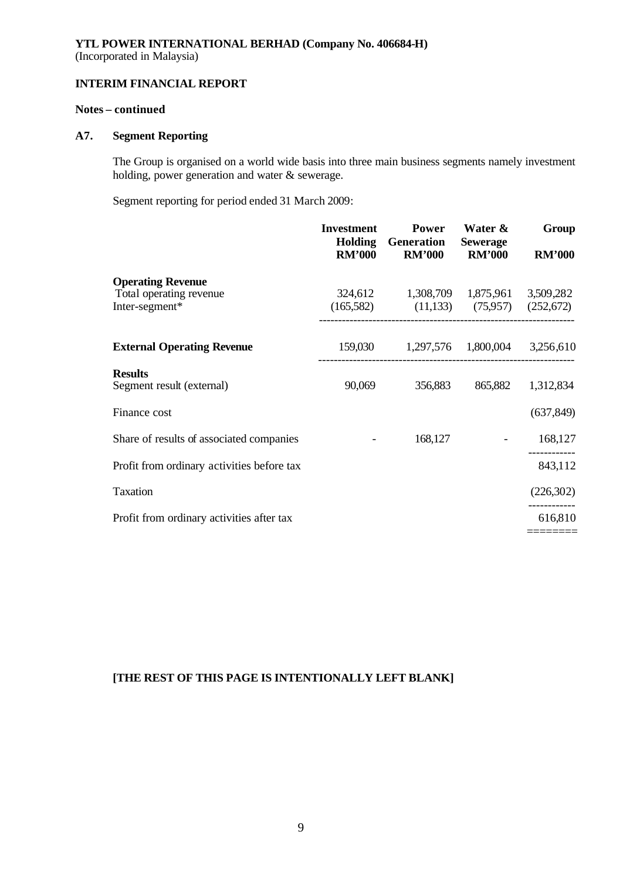(Incorporated in Malaysia)

# **INTERIM FINANCIAL REPORT**

# **Notes – continued**

# **A7. Segment Reporting**

The Group is organised on a world wide basis into three main business segments namely investment holding, power generation and water & sewerage.

Segment reporting for period ended 31 March 2009:

|                                                     | <b>Investment</b><br><b>Holding</b><br><b>RM'000</b> | Power<br><b>Generation</b><br><b>RM'000</b>   | Water &<br><b>Sewerage</b><br><b>RM'000</b> | Group<br><b>RM'000</b> |
|-----------------------------------------------------|------------------------------------------------------|-----------------------------------------------|---------------------------------------------|------------------------|
| <b>Operating Revenue</b><br>Total operating revenue |                                                      | 324,612 1,308,709 1,875,961 3,509,282         |                                             |                        |
| Inter-segment*                                      |                                                      | $(165,582)$ $(11,133)$ $(75,957)$ $(252,672)$ |                                             |                        |
| <b>External Operating Revenue</b>                   |                                                      | 159,030 1,297,576 1,800,004 3,256,610         |                                             |                        |
| <b>Results</b><br>Segment result (external)         | 90,069                                               | 356,883                                       | 865,882                                     | 1,312,834              |
| Finance cost                                        |                                                      |                                               |                                             | (637, 849)             |
| Share of results of associated companies            |                                                      | 168,127                                       |                                             | 168,127                |
| Profit from ordinary activities before tax          |                                                      |                                               |                                             | 843,112                |
| <b>Taxation</b>                                     |                                                      |                                               |                                             | (226, 302)             |
| Profit from ordinary activities after tax           |                                                      |                                               |                                             | 616,810                |
|                                                     |                                                      |                                               |                                             |                        |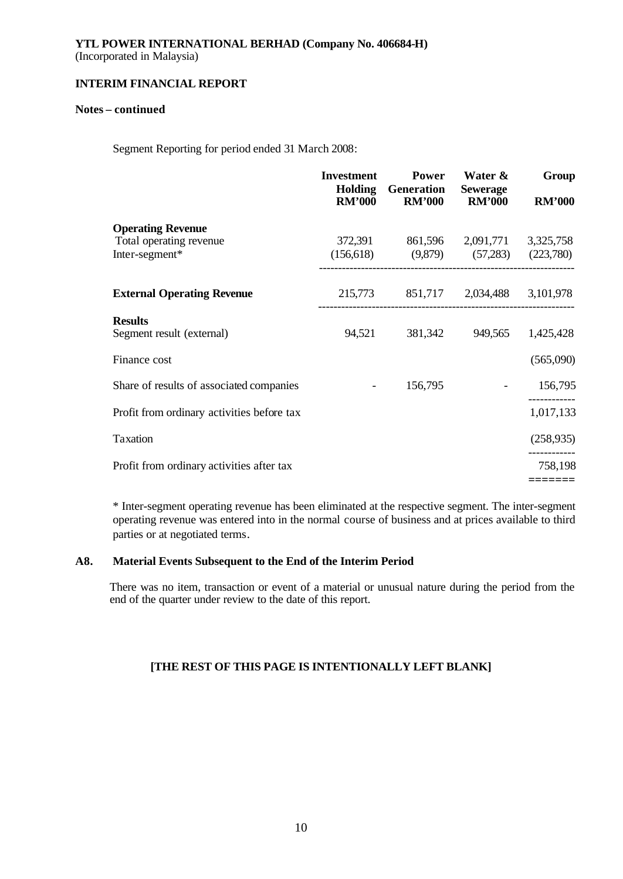# **YTL POWER INTERNATIONAL BERHAD (Company No. 406684-H)** (Incorporated in Malaysia)

# **INTERIM FINANCIAL REPORT**

# **Notes – continued**

Segment Reporting for period ended 31 March 2008:

|                                                                       | <b>Investment</b><br><b>RM'000</b> | <b>Power</b><br><b>Holding</b> Generation<br><b>RM'000</b>                          | Water &<br><b>Sewerage</b><br><b>RM'000</b> | Group<br><b>RM'000</b> |
|-----------------------------------------------------------------------|------------------------------------|-------------------------------------------------------------------------------------|---------------------------------------------|------------------------|
| <b>Operating Revenue</b><br>Total operating revenue<br>Inter-segment* |                                    | 372,391 861,596 2,091,771 3,325,758<br>$(156,618)$ $(9,879)$ $(57,283)$ $(223,780)$ |                                             |                        |
| <b>External Operating Revenue</b>                                     |                                    | 215,773 851,717 2,034,488 3,101,978                                                 |                                             |                        |
| <b>Results</b><br>Segment result (external)                           | 94,521                             | 381,342                                                                             |                                             | 949,565 1,425,428      |
| Finance cost                                                          |                                    |                                                                                     |                                             | (565,090)              |
| Share of results of associated companies                              |                                    | 156,795                                                                             |                                             | 156,795                |
| Profit from ordinary activities before tax                            |                                    |                                                                                     |                                             | 1,017,133              |
| Taxation                                                              |                                    |                                                                                     |                                             | (258, 935)             |
| Profit from ordinary activities after tax                             |                                    |                                                                                     |                                             | 758,198                |
|                                                                       |                                    |                                                                                     |                                             | =======                |

\* Inter-segment operating revenue has been eliminated at the respective segment. The inter-segment operating revenue was entered into in the normal course of business and at prices available to third parties or at negotiated terms.

# **A8. Material Events Subsequent to the End of the Interim Period**

There was no item, transaction or event of a material or unusual nature during the period from the end of the quarter under review to the date of this report.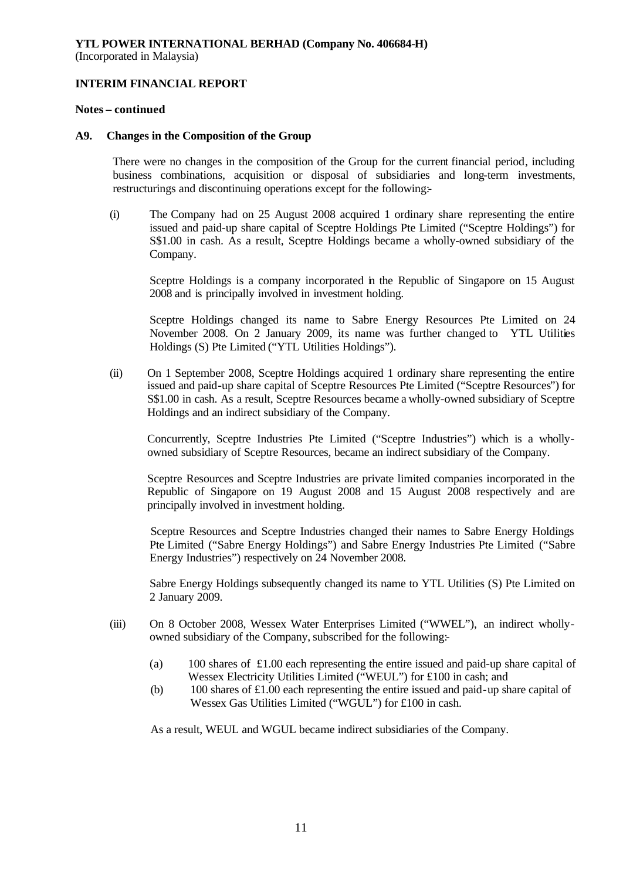(Incorporated in Malaysia)

# **INTERIM FINANCIAL REPORT**

## **Notes – continued**

## **A9. Changes in the Composition of the Group**

There were no changes in the composition of the Group for the current financial period, including business combinations, acquisition or disposal of subsidiaries and long-term investments, restructurings and discontinuing operations except for the following:-

(i) The Company had on 25 August 2008 acquired 1 ordinary share representing the entire issued and paid-up share capital of Sceptre Holdings Pte Limited ("Sceptre Holdings") for S\$1.00 in cash. As a result, Sceptre Holdings became a wholly-owned subsidiary of the Company.

Sceptre Holdings is a company incorporated in the Republic of Singapore on 15 August 2008 and is principally involved in investment holding.

Sceptre Holdings changed its name to Sabre Energy Resources Pte Limited on 24 November 2008. On 2 January 2009, its name was further changed to YTL Utilities Holdings (S) Pte Limited ("YTL Utilities Holdings").

(ii) On 1 September 2008, Sceptre Holdings acquired 1 ordinary share representing the entire issued and paid-up share capital of Sceptre Resources Pte Limited ("Sceptre Resources") for S\$1.00 in cash. As a result, Sceptre Resources became a wholly-owned subsidiary of Sceptre Holdings and an indirect subsidiary of the Company.

Concurrently, Sceptre Industries Pte Limited ("Sceptre Industries") which is a whollyowned subsidiary of Sceptre Resources, became an indirect subsidiary of the Company.

Sceptre Resources and Sceptre Industries are private limited companies incorporated in the Republic of Singapore on 19 August 2008 and 15 August 2008 respectively and are principally involved in investment holding.

Sceptre Resources and Sceptre Industries changed their names to Sabre Energy Holdings Pte Limited ("Sabre Energy Holdings") and Sabre Energy Industries Pte Limited ("Sabre Energy Industries") respectively on 24 November 2008.

Sabre Energy Holdings subsequently changed its name to YTL Utilities (S) Pte Limited on 2 January 2009.

- (iii) On 8 October 2008, Wessex Water Enterprises Limited ("WWEL"), an indirect whollyowned subsidiary of the Company, subscribed for the following:-
	- (a) 100 shares of £1.00 each representing the entire issued and paid-up share capital of Wessex Electricity Utilities Limited ("WEUL") for £100 in cash; and
	- (b) 100 shares of £1.00 each representing the entire issued and paid-up share capital of Wessex Gas Utilities Limited ("WGUL") for £100 in cash.

As a result, WEUL and WGUL became indirect subsidiaries of the Company.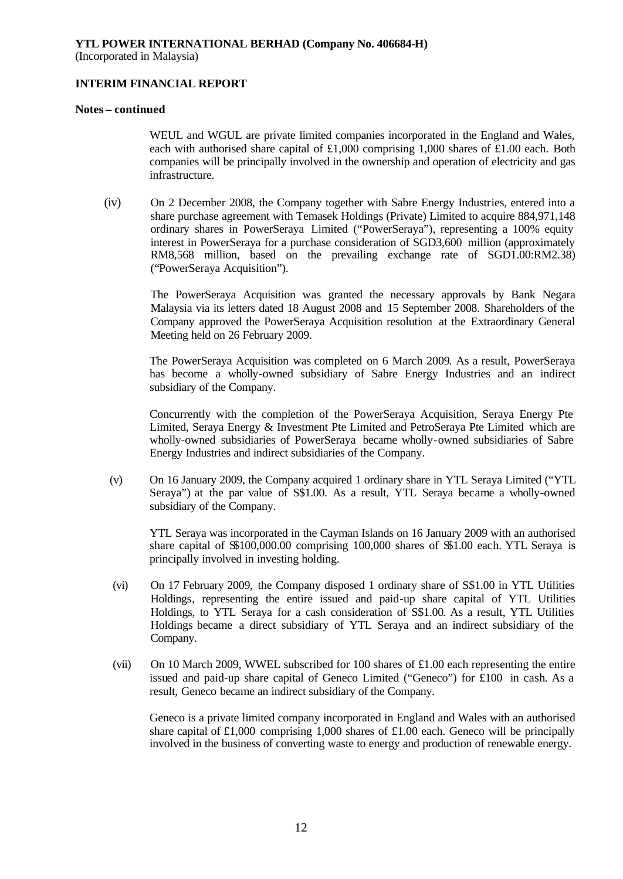(Incorporated in Malaysia)

# **INTERIM FINANCIAL REPORT**

#### **Notes – continued**

WEUL and WGUL are private limited companies incorporated in the England and Wales, each with authorised share capital of £1,000 comprising 1,000 shares of £1.00 each. Both companies will be principally involved in the ownership and operation of electricity and gas infrastructure.

(iv) On 2 December 2008, the Company together with Sabre Energy Industries, entered into a share purchase agreement with Temasek Holdings (Private) Limited to acquire 884,971,148 ordinary shares in PowerSeraya Limited ("PowerSeraya"), representing a 100% equity interest in PowerSeraya for a purchase consideration of SGD3,600 million (approximately RM8,568 million, based on the prevailing exchange rate of SGD1.00:RM2.38) ("PowerSeraya Acquisition").

The PowerSeraya Acquisition was granted the necessary approvals by Bank Negara Malaysia via its letters dated 18 August 2008 and 15 September 2008. Shareholders of the Company approved the PowerSeraya Acquisition resolution at the Extraordinary General Meeting held on 26 February 2009.

The PowerSeraya Acquisition was completed on 6 March 2009. As a result, PowerSeraya has become a wholly-owned subsidiary of Sabre Energy Industries and an indirect subsidiary of the Company.

Concurrently with the completion of the PowerSeraya Acquisition, Seraya Energy Pte Limited, Seraya Energy & Investment Pte Limited and PetroSeraya Pte Limited which are wholly-owned subsidiaries of PowerSeraya became wholly-owned subsidiaries of Sabre Energy Industries and indirect subsidiaries of the Company.

(v) On 16 January 2009, the Company acquired 1 ordinary share in YTL Seraya Limited ("YTL Seraya") at the par value of S\$1.00. As a result, YTL Seraya became a wholly-owned subsidiary of the Company.

YTL Seraya was incorporated in the Cayman Islands on 16 January 2009 with an authorised share capital of \$\$100,000.00 comprising 100,000 shares of \$\$1.00 each. YTL Seraya is principally involved in investing holding.

- (vi) On 17 February 2009, the Company disposed 1 ordinary share of S\$1.00 in YTL Utilities Holdings, representing the entire issued and paid-up share capital of YTL Utilities Holdings, to YTL Seraya for a cash consideration of S\$1.00. As a result, YTL Utilities Holdings became a direct subsidiary of YTL Seraya and an indirect subsidiary of the Company.
- (vii) On 10 March 2009, WWEL subscribed for 100 shares of £1.00 each representing the entire issued and paid-up share capital of Geneco Limited ("Geneco") for £100 in cash. As a result, Geneco became an indirect subsidiary of the Company.

Geneco is a private limited company incorporated in England and Wales with an authorised share capital of £1,000 comprising 1,000 shares of £1.00 each. Geneco will be principally involved in the business of converting waste to energy and production of renewable energy.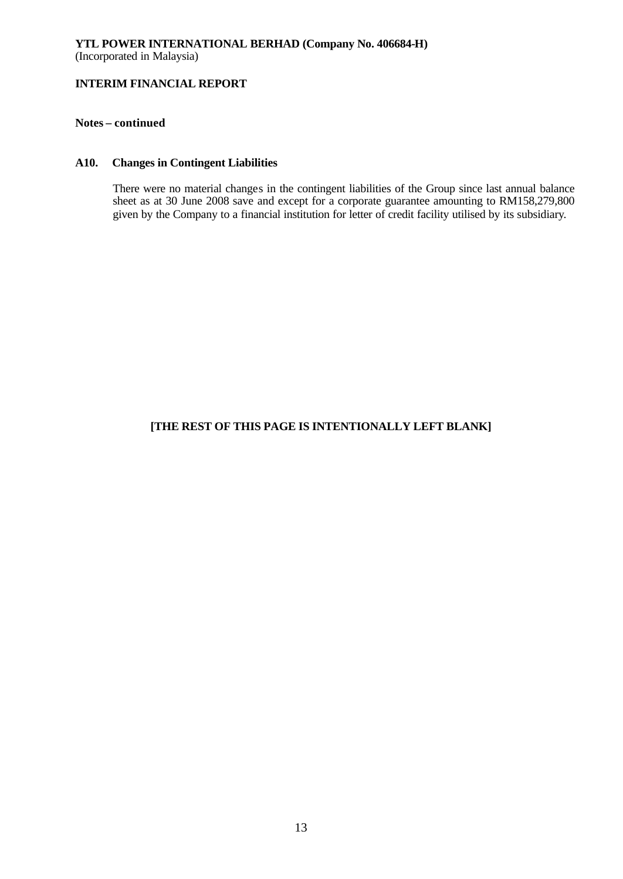# **Notes – continued**

# **A10. Changes in Contingent Liabilities**

There were no material changes in the contingent liabilities of the Group since last annual balance sheet as at 30 June 2008 save and except for a corporate guarantee amounting to RM158,279,800 given by the Company to a financial institution for letter of credit facility utilised by its subsidiary.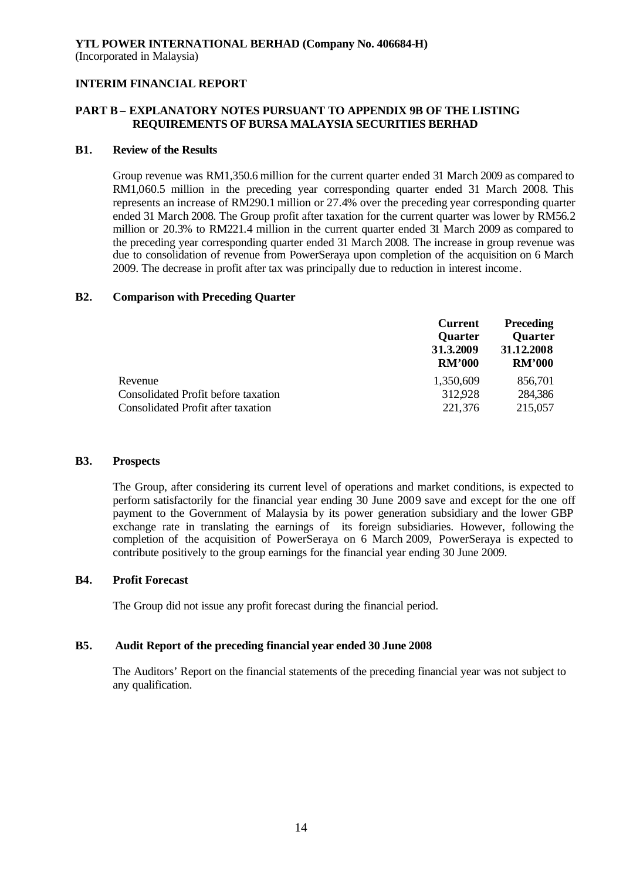# **PART B – EXPLANATORY NOTES PURSUANT TO APPENDIX 9B OF THE LISTING REQUIREMENTS OF BURSA MALAYSIA SECURITIES BERHAD**

#### **B1. Review of the Results**

Group revenue was RM1,350.6 million for the current quarter ended 31 March 2009 as compared to RM1,060.5 million in the preceding year corresponding quarter ended 31 March 2008. This represents an increase of RM290.1 million or 27.4% over the preceding year corresponding quarter ended 31 March 2008. The Group profit after taxation for the current quarter was lower by RM56.2 million or 20.3% to RM221.4 million in the current quarter ended 31 March 2009 as compared to the preceding year corresponding quarter ended 31 March 2008. The increase in group revenue was due to consolidation of revenue from PowerSeraya upon completion of the acquisition on 6 March 2009. The decrease in profit after tax was principally due to reduction in interest income.

#### **B2. Comparison with Preceding Quarter**

| <b>Current</b><br><b>Quarter</b><br>31.3.2009<br><b>RM'000</b> | <b>Preceding</b><br><b>Quarter</b><br>31.12.2008<br><b>RM'000</b> |
|----------------------------------------------------------------|-------------------------------------------------------------------|
| 1,350,609                                                      | 856,701                                                           |
| 312,928                                                        | 284,386                                                           |
| 221,376                                                        | 215,057                                                           |
|                                                                |                                                                   |

#### **B3. Prospects**

The Group, after considering its current level of operations and market conditions, is expected to perform satisfactorily for the financial year ending 30 June 2009 save and except for the one off payment to the Government of Malaysia by its power generation subsidiary and the lower GBP exchange rate in translating the earnings of its foreign subsidiaries. However, following the completion of the acquisition of PowerSeraya on 6 March 2009, PowerSeraya is expected to contribute positively to the group earnings for the financial year ending 30 June 2009.

## **B4. Profit Forecast**

The Group did not issue any profit forecast during the financial period.

# **B5. Audit Report of the preceding financial year ended 30 June 2008**

The Auditors' Report on the financial statements of the preceding financial year was not subject to any qualification.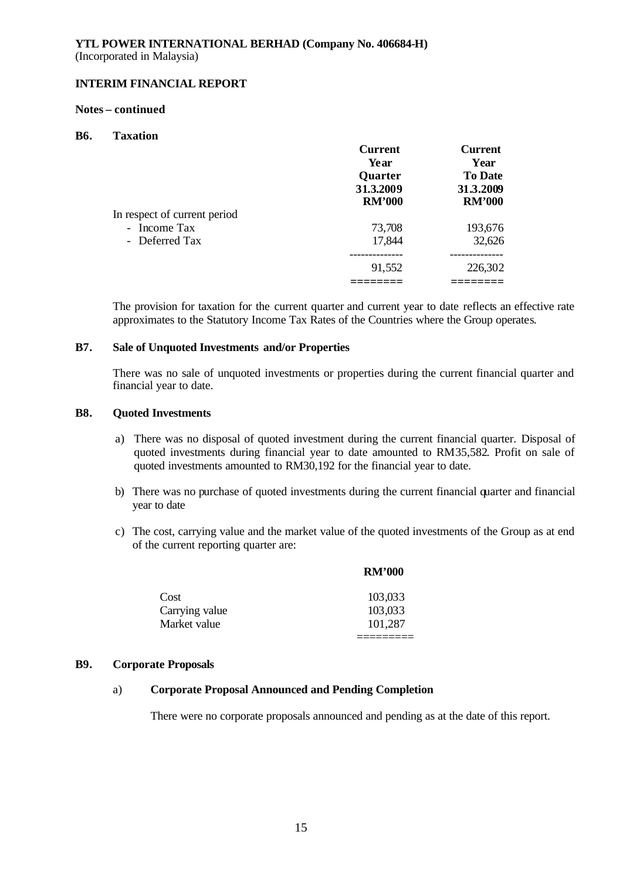#### **Notes – continued**

## **B6. Taxation**

|                              | <b>Current</b> | <b>Current</b> |
|------------------------------|----------------|----------------|
|                              | Year           | Year           |
|                              | <b>Quarter</b> | <b>To Date</b> |
|                              | 31.3.2009      | 31.3.2009      |
|                              | <b>RM'000</b>  | <b>RM'000</b>  |
| In respect of current period |                |                |
| - Income Tax                 | 73,708         | 193,676        |
| - Deferred Tax               | 17,844         | 32,626         |
|                              |                |                |
|                              | 91,552         | 226,302        |
|                              |                |                |

The provision for taxation for the current quarter and current year to date reflects an effective rate approximates to the Statutory Income Tax Rates of the Countries where the Group operates.

#### **B7. Sale of Unquoted Investments and/or Properties**

There was no sale of unquoted investments or properties during the current financial quarter and financial year to date.

#### **B8. Quoted Investments**

- a) There was no disposal of quoted investment during the current financial quarter. Disposal of quoted investments during financial year to date amounted to RM35,582. Profit on sale of quoted investments amounted to RM30,192 for the financial year to date.
- b) There was no purchase of quoted investments during the current financial quarter and financial year to date
- c) The cost, carrying value and the market value of the quoted investments of the Group as at end of the current reporting quarter are:

|                | <b>RM'000</b> |
|----------------|---------------|
| Cost           | 103,033       |
| Carrying value | 103,033       |
| Market value   | 101,287       |
|                |               |

## **B9. Corporate Proposals**

# a) **Corporate Proposal Announced and Pending Completion**

There were no corporate proposals announced and pending as at the date of this report.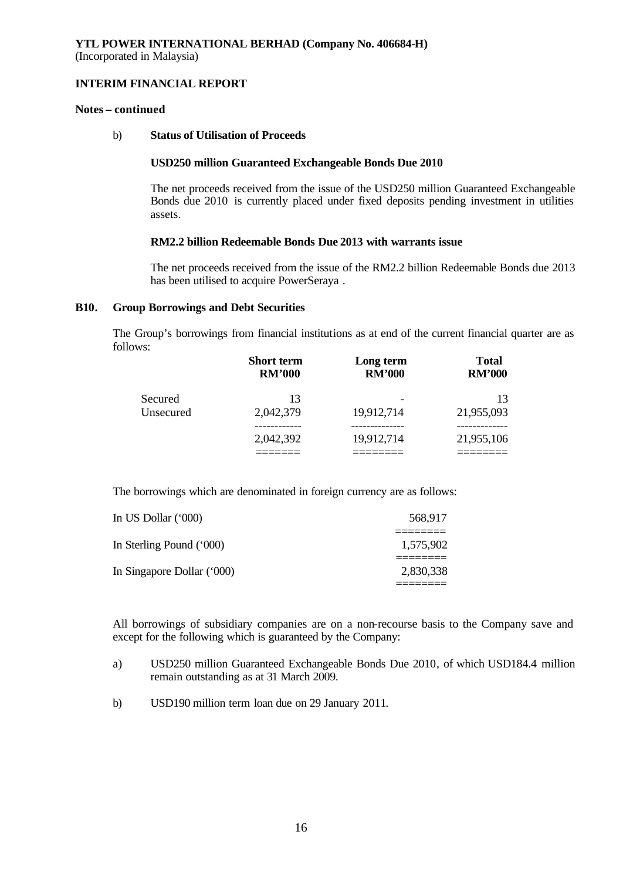#### **Notes – continued**

#### b) **Status of Utilisation of Proceeds**

#### **USD250 million Guaranteed Exchangeable Bonds Due 2010**

The net proceeds received from the issue of the USD250 million Guaranteed Exchangeable Bonds due 2010 is currently placed under fixed deposits pending investment in utilities assets.

# **RM2.2 billion Redeemable Bonds Due 2013 with warrants issue**

The net proceeds received from the issue of the RM2.2 billion Redeemable Bonds due 2013 has been utilised to acquire PowerSeraya .

#### **B10. Group Borrowings and Debt Securities**

The Group's borrowings from financial institutions as at end of the current financial quarter are as follows:

|           | <b>Short term</b><br><b>RM'000</b> | Long term<br><b>RM'000</b> | <b>Total</b><br><b>RM'000</b> |
|-----------|------------------------------------|----------------------------|-------------------------------|
| Secured   | 13                                 |                            | 13                            |
| Unsecured | 2,042,379                          | 19,912,714                 | 21,955,093                    |
|           |                                    |                            |                               |
|           | 2,042,392                          | 19,912,714                 | 21,955,106                    |
|           |                                    |                            |                               |

The borrowings which are denominated in foreign currency are as follows:

| In US Dollar (*000)        | 568,917   |
|----------------------------|-----------|
| In Sterling Pound ('000)   | 1,575,902 |
| In Singapore Dollar ('000) | 2,830,338 |

All borrowings of subsidiary companies are on a non-recourse basis to the Company save and except for the following which is guaranteed by the Company:

- a) USD250 million Guaranteed Exchangeable Bonds Due 2010, of which USD184.4 million remain outstanding as at 31 March 2009.
- b) USD190 million term loan due on 29 January 2011.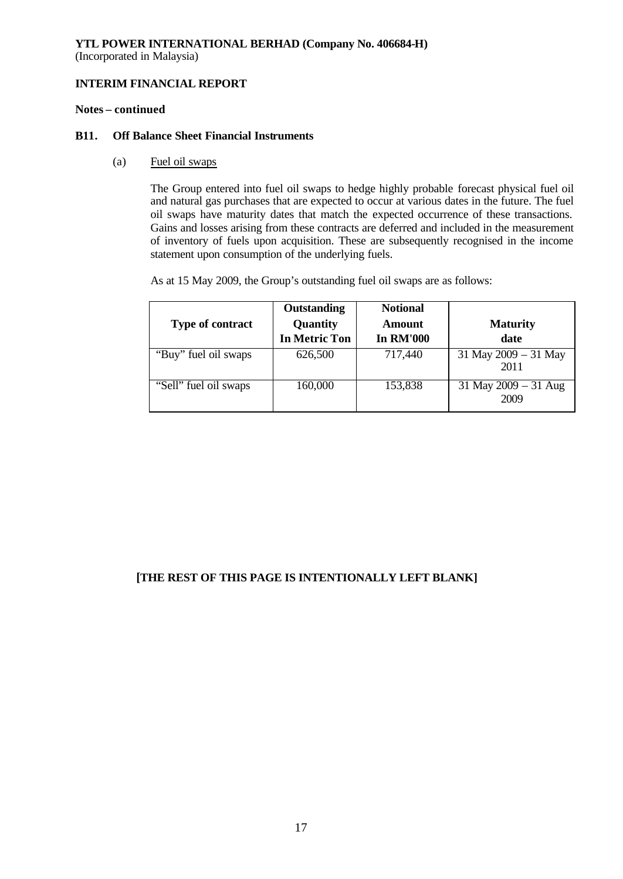(Incorporated in Malaysia)

# **INTERIM FINANCIAL REPORT**

# **Notes – continued**

## **B11. Off Balance Sheet Financial Instruments**

(a) Fuel oil swaps

The Group entered into fuel oil swaps to hedge highly probable forecast physical fuel oil and natural gas purchases that are expected to occur at various dates in the future. The fuel oil swaps have maturity dates that match the expected occurrence of these transactions. Gains and losses arising from these contracts are deferred and included in the measurement of inventory of fuels upon acquisition. These are subsequently recognised in the income statement upon consumption of the underlying fuels.

As at 15 May 2009, the Group's outstanding fuel oil swaps are as follows:

| <b>Type of contract</b> | <b>Outstanding</b><br>Quantity<br><b>In Metric Ton</b> | <b>Notional</b><br>Amount<br><b>In RM'000</b> | <b>Maturity</b><br>date      |
|-------------------------|--------------------------------------------------------|-----------------------------------------------|------------------------------|
| "Buy" fuel oil swaps    | 626,500                                                | 717,440                                       | 31 May 2009 - 31 May<br>2011 |
| "Sell" fuel oil swaps   | 160,000                                                | 153,838                                       | 31 May 2009 - 31 Aug<br>2009 |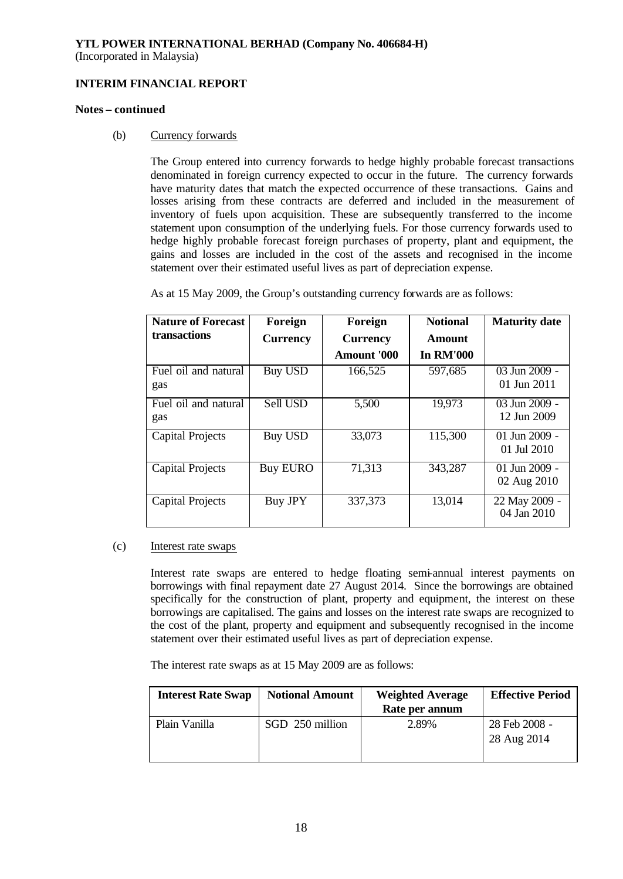(Incorporated in Malaysia)

# **INTERIM FINANCIAL REPORT**

#### **Notes – continued**

## (b) Currency forwards

The Group entered into currency forwards to hedge highly probable forecast transactions denominated in foreign currency expected to occur in the future. The currency forwards have maturity dates that match the expected occurrence of these transactions. Gains and losses arising from these contracts are deferred and included in the measurement of inventory of fuels upon acquisition. These are subsequently transferred to the income statement upon consumption of the underlying fuels. For those currency forwards used to hedge highly probable forecast foreign purchases of property, plant and equipment, the gains and losses are included in the cost of the assets and recognised in the income statement over their estimated useful lives as part of depreciation expense.

As at 15 May 2009, the Group's outstanding currency forwards are as follows:

| <b>Nature of Forecast</b>   | Foreign         | Foreign            | <b>Notional</b>  | <b>Maturity date</b>           |
|-----------------------------|-----------------|--------------------|------------------|--------------------------------|
| transactions                | <b>Currency</b> | <b>Currency</b>    | Amount           |                                |
|                             |                 | <b>Amount '000</b> | <b>In RM'000</b> |                                |
| Fuel oil and natural<br>gas | <b>Buy USD</b>  | 166,525            | 597,685          | 03 Jun 2009 -<br>01 Jun 2011   |
| Fuel oil and natural<br>gas | Sell USD        | 5,500              | 19,973           | 03 Jun 2009 -<br>12 Jun 2009   |
| Capital Projects            | <b>Buy USD</b>  | 33,073             | 115,300          | 01 Jun $2009 -$<br>01 Jul 2010 |
| <b>Capital Projects</b>     | <b>Buy EURO</b> | 71,313             | 343,287          | 01 Jun 2009 -<br>02 Aug 2010   |
| <b>Capital Projects</b>     | Buy JPY         | 337,373            | 13,014           | 22 May 2009 -<br>04 Jan 2010   |

## (c) Interest rate swaps

Interest rate swaps are entered to hedge floating semi-annual interest payments on borrowings with final repayment date 27 August 2014. Since the borrowings are obtained specifically for the construction of plant, property and equipment, the interest on these borrowings are capitalised. The gains and losses on the interest rate swaps are recognized to the cost of the plant, property and equipment and subsequently recognised in the income statement over their estimated useful lives as part of depreciation expense.

The interest rate swaps as at 15 May 2009 are as follows:

| <b>Interest Rate Swap</b> | <b>Notional Amount</b> | <b>Weighted Average</b><br>Rate per annum | <b>Effective Period</b>      |
|---------------------------|------------------------|-------------------------------------------|------------------------------|
| Plain Vanilla             | SGD 250 million        | 2.89%                                     | 28 Feb 2008 -<br>28 Aug 2014 |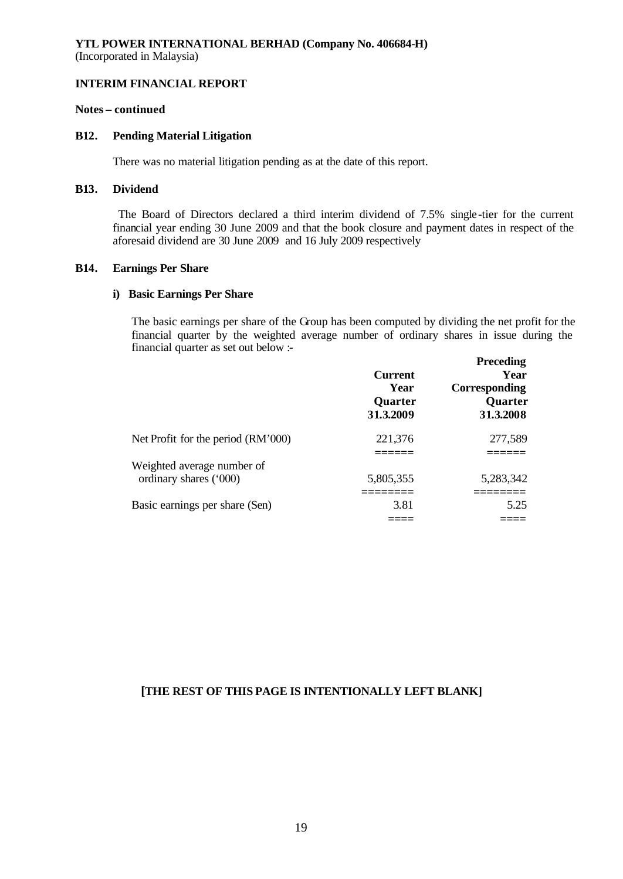(Incorporated in Malaysia)

#### **INTERIM FINANCIAL REPORT**

# **Notes – continued**

# **B12. Pending Material Litigation**

There was no material litigation pending as at the date of this report.

# **B13. Dividend**

 The Board of Directors declared a third interim dividend of 7.5% single-tier for the current financial year ending 30 June 2009 and that the book closure and payment dates in respect of the aforesaid dividend are 30 June 2009 and 16 July 2009 respectively

#### **B14. Earnings Per Share**

# **i) Basic Earnings Per Share**

The basic earnings per share of the Group has been computed by dividing the net profit for the financial quarter by the weighted average number of ordinary shares in issue during the financial quarter as set out below :- **Preceding**

|                                                      | <b>Current</b><br>Year<br><b>Quarter</b><br>31.3.2009 | <b>F</b> receding<br>Year<br>Corresponding<br><b>Quarter</b><br>31.3.2008 |
|------------------------------------------------------|-------------------------------------------------------|---------------------------------------------------------------------------|
| Net Profit for the period (RM'000)                   | 221,376                                               | 277,589                                                                   |
|                                                      |                                                       |                                                                           |
| Weighted average number of<br>ordinary shares ('000) | 5,805,355                                             | 5,283,342                                                                 |
| Basic earnings per share (Sen)                       | 3.81                                                  | 5.25                                                                      |
|                                                      |                                                       |                                                                           |